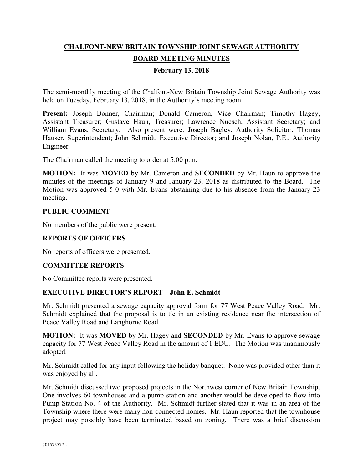# **CHALFONT-NEW BRITAIN TOWNSHIP JOINT SEWAGE AUTHORITY BOARD MEETING MINUTES**

## **February 13, 2018**

The semi-monthly meeting of the Chalfont-New Britain Township Joint Sewage Authority was held on Tuesday, February 13, 2018, in the Authority's meeting room.

Present: Joseph Bonner, Chairman; Donald Cameron, Vice Chairman; Timothy Hagey, Assistant Treasurer; Gustave Haun, Treasurer; Lawrence Nuesch, Assistant Secretary; and William Evans, Secretary. Also present were: Joseph Bagley, Authority Solicitor; Thomas Hauser, Superintendent; John Schmidt, Executive Director; and Joseph Nolan, P.E., Authority Engineer.

The Chairman called the meeting to order at 5:00 p.m.

**MOTION:** It was **MOVED** by Mr. Cameron and **SECONDED** by Mr. Haun to approve the minutes of the meetings of January 9 and January 23, 2018 as distributed to the Board. The Motion was approved 5-0 with Mr. Evans abstaining due to his absence from the January 23 meeting.

#### **PUBLIC COMMENT**

No members of the public were present.

#### **REPORTS OF OFFICERS**

No reports of officers were presented.

## **COMMITTEE REPORTS**

No Committee reports were presented.

#### **EXECUTIVE DIRECTOR'S REPORT – John E. Schmidt**

Mr. Schmidt presented a sewage capacity approval form for 77 West Peace Valley Road. Mr. Schmidt explained that the proposal is to tie in an existing residence near the intersection of Peace Valley Road and Langhorne Road.

**MOTION:** It was **MOVED** by Mr. Hagey and **SECONDED** by Mr. Evans to approve sewage capacity for 77 West Peace Valley Road in the amount of 1 EDU. The Motion was unanimously adopted.

Mr. Schmidt called for any input following the holiday banquet. None was provided other than it was enjoyed by all.

Mr. Schmidt discussed two proposed projects in the Northwest corner of New Britain Township. One involves 60 townhouses and a pump station and another would be developed to flow into Pump Station No. 4 of the Authority. Mr. Schmidt further stated that it was in an area of the Township where there were many non-connected homes. Mr. Haun reported that the townhouse project may possibly have been terminated based on zoning. There was a brief discussion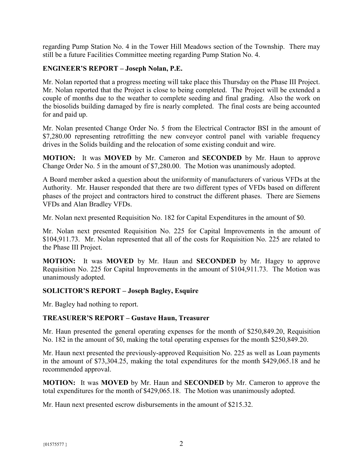regarding Pump Station No. 4 in the Tower Hill Meadows section of the Township. There may still be a future Facilities Committee meeting regarding Pump Station No. 4.

## **ENGINEER'S REPORT – Joseph Nolan, P.E.**

Mr. Nolan reported that a progress meeting will take place this Thursday on the Phase III Project. Mr. Nolan reported that the Project is close to being completed. The Project will be extended a couple of months due to the weather to complete seeding and final grading. Also the work on the biosolids building damaged by fire is nearly completed. The final costs are being accounted for and paid up.

Mr. Nolan presented Change Order No. 5 from the Electrical Contractor BSI in the amount of \$7,280.00 representing retrofitting the new conveyor control panel with variable frequency drives in the Solids building and the relocation of some existing conduit and wire.

**MOTION:** It was **MOVED** by Mr. Cameron and **SECONDED** by Mr. Haun to approve Change Order No. 5 in the amount of \$7,280.00. The Motion was unanimously adopted.

A Board member asked a question about the uniformity of manufacturers of various VFDs at the Authority. Mr. Hauser responded that there are two different types of VFDs based on different phases of the project and contractors hired to construct the different phases. There are Siemens VFDs and Alan Bradley VFDs.

Mr. Nolan next presented Requisition No. 182 for Capital Expenditures in the amount of \$0.

Mr. Nolan next presented Requisition No. 225 for Capital Improvements in the amount of \$104,911.73. Mr. Nolan represented that all of the costs for Requisition No. 225 are related to the Phase III Project.

**MOTION:** It was **MOVED** by Mr. Haun and **SECONDED** by Mr. Hagey to approve Requisition No. 225 for Capital Improvements in the amount of \$104,911.73. The Motion was unanimously adopted.

## **SOLICITOR'S REPORT – Joseph Bagley, Esquire**

Mr. Bagley had nothing to report.

#### **TREASURER'S REPORT – Gustave Haun, Treasurer**

Mr. Haun presented the general operating expenses for the month of \$250,849.20, Requisition No. 182 in the amount of \$0, making the total operating expenses for the month \$250,849.20.

Mr. Haun next presented the previously-approved Requisition No. 225 as well as Loan payments in the amount of \$73,304.25, making the total expenditures for the month \$429,065.18 and he recommended approval.

**MOTION:** It was **MOVED** by Mr. Haun and **SECONDED** by Mr. Cameron to approve the total expenditures for the month of \$429,065.18. The Motion was unanimously adopted.

Mr. Haun next presented escrow disbursements in the amount of \$215.32.